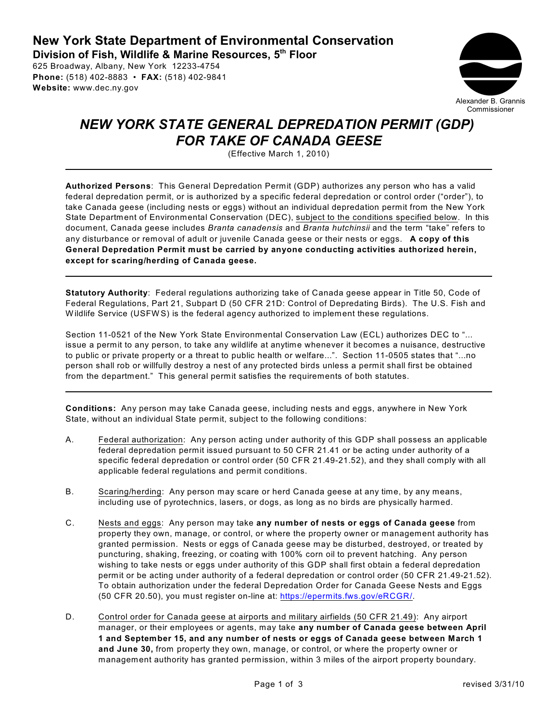**New York State Department of Environmental Conservation Division of Fish, Wildlife & Marine Resources, 5th Floor** 

625 Broadway, Albany, New York 12233-4754 **Phone:** (518) 402-8883 • **FAX:** (518) 402-9841 **Website:** www.dec.ny.gov



## *NEW YORK STATE GENERAL DEPREDATION PERMIT (GDP) FOR TAKE OF CANADA GEESE*

(Effective March 1, 2010)

**Authorized Persons**: This General Depredation Permit (GDP) authorizes any person who has a valid federal depredation permit, or is authorized by a specific federal depredation or control order ("order"), to take Canada geese (including nests or eggs) without an individual depredation permit from the New York State Department of Environmental Conservation (DEC), subject to the conditions specified below. In this document, Canada geese includes *Branta canadensis* and *Branta hutchinsii* and the term "take" refers to any disturbance or removal of adult or juvenile Canada geese or their nests or eggs. **A copy of this General Depredation Permit must be carried by anyone conducting activities authorized herein, except for scaring/herding of Canada geese.**

**Statutory Authority**: Federal regulations authorizing take of Canada geese appear in Title 50, Code of Federal Regulations, Part 21, Subpart D (50 CFR 21D: Control of Depredating Birds). The U.S. Fish and W ildlife Service (USFW S) is the federal agency authorized to implement these regulations.

Section 11-0521 of the New York State Environmental Conservation Law (ECL) authorizes DEC to "... issue a permit to any person, to take any wildlife at anytime whenever it becomes a nuisance, destructive to public or private property or a threat to public health or welfare...". Section 11-0505 states that "...no person shall rob or willfully destroy a nest of any protected birds unless a permit shall first be obtained from the department." This general permit satisfies the requirements of both statutes.

**Conditions:** Any person may take Canada geese, including nests and eggs, anywhere in New York State, without an individual State permit, subject to the following conditions:

- A. Federal authorization: Any person acting under authority of this GDP shall possess an applicable federal depredation permit issued pursuant to 50 CFR 21.41 or be acting under authority of a specific federal depredation or control order (50 CFR 21.49-21.52), and they shall comply with all applicable federal regulations and permit conditions.
- B. Scaring/herding: Any person may scare or herd Canada geese at any time, by any means, including use of pyrotechnics, lasers, or dogs, as long as no birds are physically harmed.
- C. Nests and eggs: Any person may take **any number of nests or eggs of Canada geese** from property they own, manage, or control, or where the property owner or management authority has granted permission. Nests or eggs of Canada geese may be disturbed, destroyed, or treated by puncturing, shaking, freezing, or coating with 100% corn oil to prevent hatching. Any person wishing to take nests or eggs under authority of this GDP shall first obtain a federal depredation permit or be acting under authority of a federal depredation or control order (50 CFR 21.49-21.52). To obtain authorization under the federal Depredation Order for Canada Geese Nests and Eggs (50 CFR 20.50), you must register on-line at: https://epermits.fws.gov/eRCGR/.
- D. Control order for Canada geese at airports and military airfields (50 CFR 21.49): Any airport manager, or their employees or agents, may take **any number of Canada geese between April 1 and September 15, and any number of nests or eggs of Canada geese between March 1 and June 30,** from property they own, manage, or control, or where the property owner or management authority has granted permission, within 3 miles of the airport property boundary.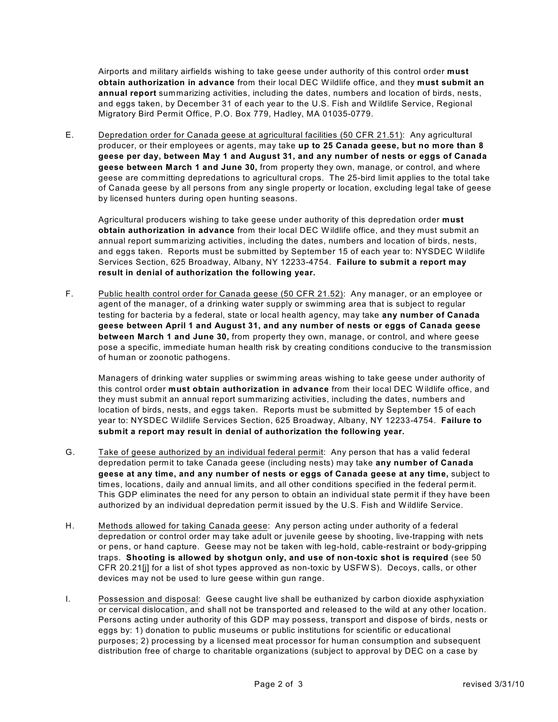Airports and military airfields wishing to take geese under authority of this control order **must obtain authorization in advance** from their local DEC W ildlife office, and they **must submit an annual report** summarizing activities, including the dates, numbers and location of birds, nests, and eggs taken, by December 31 of each year to the U.S. Fish and Wildlife Service, Regional Migratory Bird Permit Office, P.O. Box 779, Hadley, MA 01035-0779.

E. Depredation order for Canada geese at agricultural facilities (50 CFR 21.51): Any agricultural producer, or their employees or agents, may take **up to 25 Canada geese, but no more than 8 geese per day, between May 1 and August 31, and any number of nests or eggs of Canada geese between March 1 and June 30,** from property they own, manage, or control, and where geese are committing depredations to agricultural crops. The 25-bird limit applies to the total take of Canada geese by all persons from any single property or location, excluding legal take of geese by licensed hunters during open hunting seasons.

Agricultural producers wishing to take geese under authority of this depredation order **must obtain authorization in advance** from their local DEC W ildlife office, and they must submit an annual report summarizing activities, including the dates, numbers and location of birds, nests, and eggs taken. Reports must be submitted by September 15 of each year to: NYSDEC W ildlife Services Section, 625 Broadway, Albany, NY 12233-4754. **Failure to submit a report may result in denial of authorization the following year.**

F. Public health control order for Canada geese (50 CFR 21.52): Any manager, or an employee or agent of the manager, of a drinking water supply or swimming area that is subject to regular testing for bacteria by a federal, state or local health agency, may take **any number of Canada geese between April 1 and August 31, and any number of nests or eggs of Canada geese between March 1 and June 30,** from property they own, manage, or control, and where geese pose a specific, immediate human health risk by creating conditions conducive to the transmission of human or zoonotic pathogens.

Managers of drinking water supplies or swimming areas wishing to take geese under authority of this control order **must obtain authorization in advance** from their local DEC W ildlife office, and they must submit an annual report summarizing activities, including the dates, numbers and location of birds, nests, and eggs taken. Reports must be submitted by September 15 of each year to: NYSDEC W ildlife Services Section, 625 Broadway, Albany, NY 12233-4754. **Failure to submit a report may result in denial of authorization the following year.**

- G. Take of geese authorized by an individual federal permit: Any person that has a valid federal depredation permit to take Canada geese (including nests) may take **any number of Canada geese at any time, and any number of nests or eggs of Canada geese at any time,** subject to times, locations, daily and annual limits, and all other conditions specified in the federal permit. This GDP eliminates the need for any person to obtain an individual state permit if they have been authorized by an individual depredation permit issued by the U.S. Fish and Wildlife Service.
- H. Methods allowed for taking Canada geese: Any person acting under authority of a federal depredation or control order may take adult or juvenile geese by shooting, live-trapping with nets or pens, or hand capture. Geese may not be taken with leg-hold, cable-restraint or body-gripping traps. **Shooting is allowed by shotgun only, and use of non-toxic shot is required** (see 50 CFR 20.21[j] for a list of shot types approved as non-toxic by USFW S). Decoys, calls, or other devices may not be used to lure geese within gun range.
- I. Possession and disposal: Geese caught live shall be euthanized by carbon dioxide asphyxiation or cervical dislocation, and shall not be transported and released to the wild at any other location. Persons acting under authority of this GDP may possess, transport and dispose of birds, nests or eggs by: 1) donation to public museums or public institutions for scientific or educational purposes; 2) processing by a licensed meat processor for human consumption and subsequent distribution free of charge to charitable organizations (subject to approval by DEC on a case by